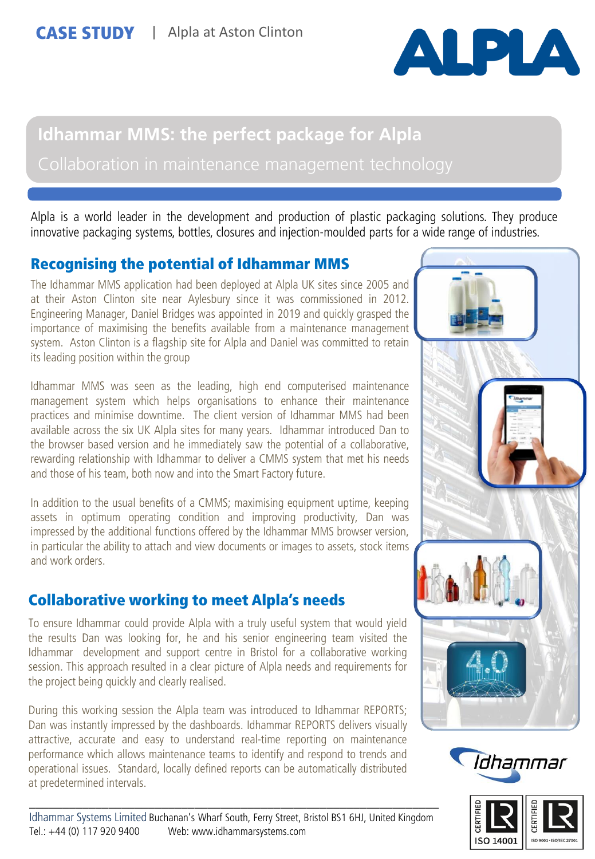

# **Idhammar MMS: the perfect package for Alpla**

Alpla is a world leader in the development and production of plastic packaging solutions. They produce innovative packaging systems, bottles, closures and injection-moulded parts for a wide range of industries.

## Recognising the potential of Idhammar MMS

The Idhammar MMS application had been deployed at Alpla UK sites since 2005 and at their Aston Clinton site near Aylesbury since it was commissioned in 2012. Engineering Manager, Daniel Bridges was appointed in 2019 and quickly grasped the importance of maximising the benefits available from a maintenance management system. Aston Clinton is a flagship site for Alpla and Daniel was committed to retain its leading position within the group

Idhammar MMS was seen as the leading, high end computerised maintenance management system which helps organisations to enhance their maintenance practices and minimise downtime. The client version of Idhammar MMS had been available across the six UK Alpla sites for many years. Idhammar introduced Dan to the browser based version and he immediately saw the potential of a collaborative, rewarding relationship with Idhammar to deliver a CMMS system that met his needs and those of his team, both now and into the Smart Factory future.

In addition to the usual benefits of a CMMS; maximising equipment uptime, keeping assets in optimum operating condition and improving productivity, Dan was impressed by the additional functions offered by the Idhammar MMS browser version, in particular the ability to attach and view documents or images to assets, stock items and work orders.

## Collaborative working to meet Alpla's needs

To ensure Idhammar could provide Alpla with a truly useful system that would yield the results Dan was looking for, he and his senior engineering team visited the Idhammar development and support centre in Bristol for a collaborative working session. This approach resulted in a clear picture of Alpla needs and requirements for the project being quickly and clearly realised.

During this working session the Alpla team was introduced to Idhammar REPORTS; Dan was instantly impressed by the dashboards. Idhammar REPORTS delivers visually attractive, accurate and easy to understand real-time reporting on maintenance performance which allows maintenance teams to identify and respond to trends and operational issues. Standard, locally defined reports can be automatically distributed at predetermined intervals.

\_\_\_\_\_\_\_\_\_\_\_\_\_\_\_\_\_\_\_\_\_\_\_\_\_\_\_\_\_\_\_\_\_\_\_\_\_\_\_\_\_\_\_\_\_\_\_\_\_\_\_\_\_\_\_\_\_\_\_\_\_\_





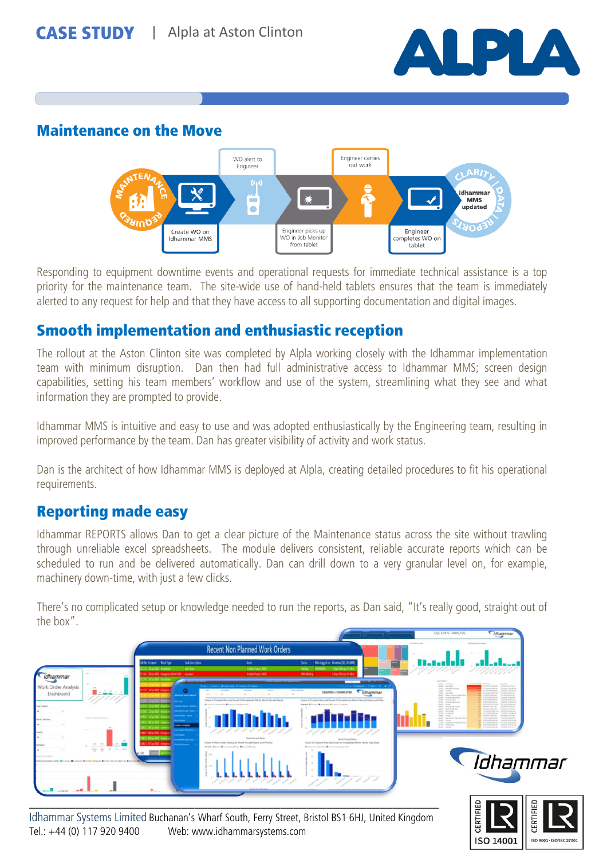

ISO 14001

**ISO 9001 - ISO/IEC 270** 

#### Maintenance on the Move



Responding to equipment downtime events and operational requests for immediate technical assistance is a top priority for the maintenance team. The site-wide use of hand-held tablets ensures that the team is immediately alerted to any request for help and that they have access to all supporting documentation and digital images.

#### Smooth implementation and enthusiastic reception

The rollout at the Aston Clinton site was completed by Alpla working closely with the Idhammar implementation team with minimum disruption. Dan then had full administrative access to Idhammar MMS; screen design capabilities, setting his team members' workflow and use of the system, streamlining what they see and what information they are prompted to provide.

Idhammar MMS is intuitive and easy to use and was adopted enthusiastically by the Engineering team, resulting in improved performance by the team. Dan has greater visibility of activity and work status.

Dan is the architect of how Idhammar MMS is deployed at Alpla, creating detailed procedures to fit his operational requirements.

### Reporting made easy

Idhammar REPORTS allows Dan to get a clear picture of the Maintenance status across the site without trawling through unreliable excel spreadsheets. The module delivers consistent, reliable accurate reports which can be scheduled to run and be delivered automatically. Dan can drill down to a very granular level on, for example, machinery down-time, with just a few clicks.

There's no complicated setup or knowledge needed to run the reports, as Dan said, "It's really good, straight out of the box".



Idhammar Systems Limited Buchanan's Wharf South, Ferry Street, Bristol BS1 6HJ, United Kingdom Tel.: +44 (0) 117 920 9400 Web: www.idhammarsystems.com